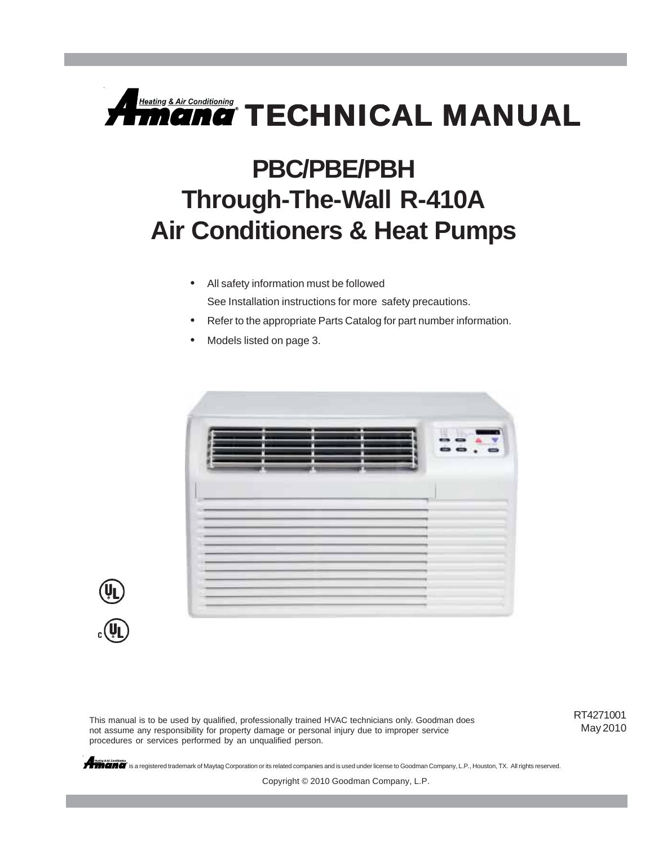

# **PBC/PBE/PBH Through-The-Wall R-410A Air Conditioners & Heat Pumps**

- All safety information must be followed See Installation instructions for more safety precautions.
- Refer to the appropriate Parts Catalog for part number information.
- Models listed on page 3.





This manual is to be used by qualified, professionally trained HVAC technicians only. Goodman does not assume any responsibility for property damage or personal injury due to improper service procedures or services performed by an unqualified person.

RT4271001 May 2010

**All REGIST** is a registered trademark of Maytag Corporation or its related companies and is used under license to Goodman Company, L.P., Houston, TX. All rights reserved.

Copyright © 2010 Goodman Company, L.P.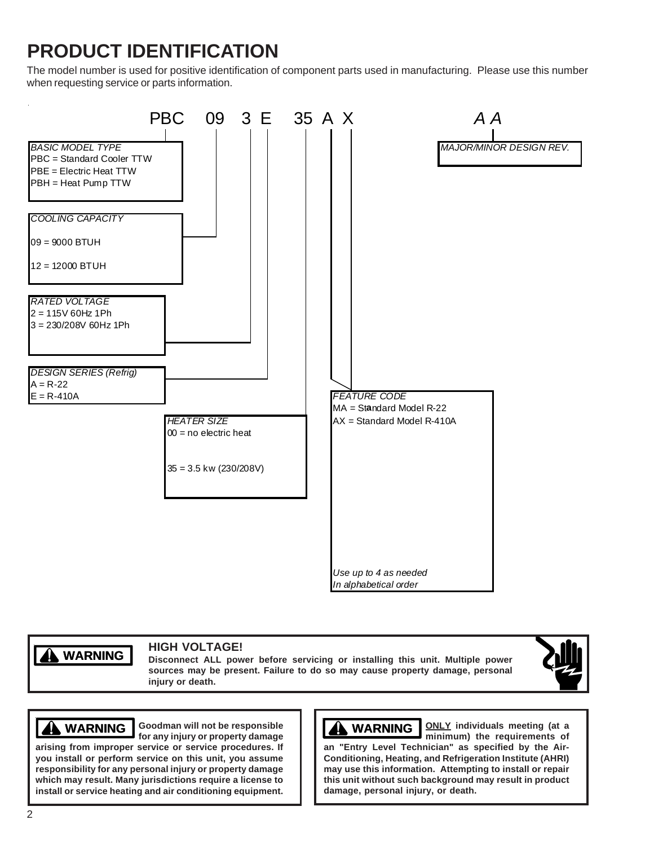# **PRODUCT IDENTIFICATION**

The model number is used for positive identification of component parts used in manufacturing. Please use this number when requesting service or parts information.



**WARNING WARNING**

#### **HIGH VOLTAGE!**

**Disconnect ALL power before servicing or installing this unit. Multiple power sources may be present. Failure to do so may cause property damage, personal injury or death.**



#### **Goodman will not be responsible**

**arising from improper service or service procedures. If you install or perform service on this unit, you assume responsibility for any personal injury or property damage which may result. Many jurisdictions require a license to install or service heating and air conditioning equipment.**

# **WARNING WARNING**

**MARNING** Goodman will not be responsible  $\left[\begin{array}{c} \begin{array}{c} \end{array} \right] \end{array}$  **WARNING**  $\left[\begin{array}{c} \text{OLY} \\ \text{minimum} \end{array}\right]$  the requirements of **minimum) the requirements of an "Entry Level Technician" as specified by the Air-Conditioning, Heating, and Refrigeration Institute (AHRI) may use this information. Attempting to install or repair this unit without such background may result in product damage, personal injury, or death.**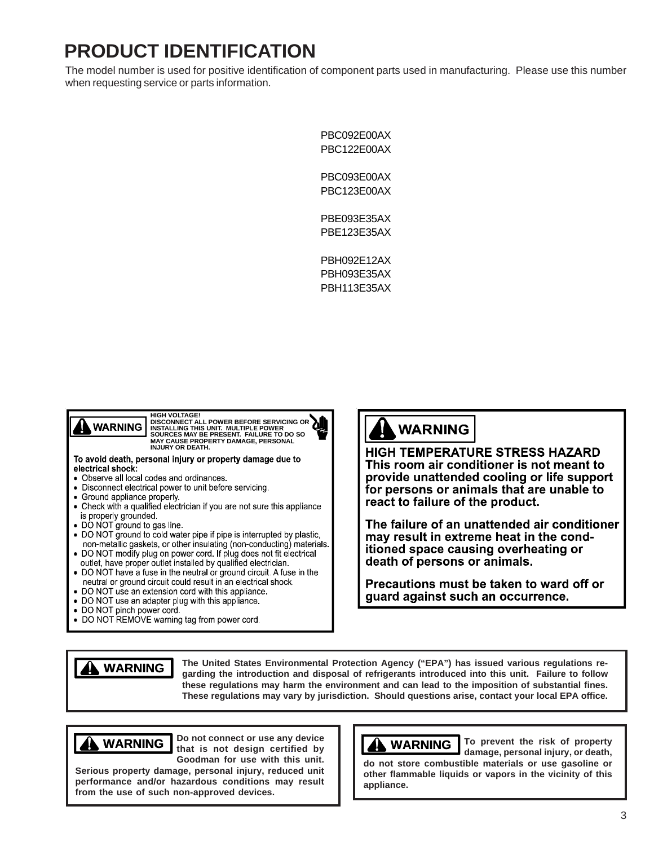## **PRODUCT IDENTIFICATION**

The model number is used for positive identification of component parts used in manufacturing. Please use this number when requesting service or parts information.

> PBC092E00AX PBC122E00AX

PBC093E00AX PBC123E00AX

PBE093E35AX PBE123E35AX

PBH092E12AX PBH093E35AX PBH113E35AX



HIGH VOLTAGE!<br>DISCONNECT ALL POWER BEFORE SERVICING OR<br>INSTALLING THIS UNIT. MULTIPLE POWER<br>SOURCES MAY BE PRESENT. FAILURE TO DO SO<br>MJURY OR DEATH.<br>INJURY OR DEATH.

To avoid death, personal injury or property damage due to electrical shock:

- Observe all local codes and ordinances.
- Disconnect electrical power to unit before servicing.
- Ground appliance properly.
- Check with a qualified electrician if you are not sure this appliance is properly grounded
- 
- DO NOT ground to gas line.<br>• DO NOT ground to cold water pipe if pipe is interrupted by plastic. non-metallic gaskets, or other insulating (non-conducting) materials.
- . DO NOT modify plug on power cord. If plug does not fit electrical outlet, have proper outlet installed by qualified electrician.
- DO NOT have a fuse in the neutral or ground circuit. A fuse in the neutral or ground circuit could result in an electrical shock.
- DO NOT use an extension cord with this appliance.
- DO NOT use an adapter plug with this appliance.
- DO NOT pinch power cord
- DO NOT REMOVE warning tag from power cord.

#### **WARNING**

**HIGH TEMPERATURE STRESS HAZARD** This room air conditioner is not meant to provide unattended cooling or life support for persons or animals that are unable to react to failure of the product.

The failure of an unattended air conditioner may result in extreme heat in the conditioned space causing overheating or death of persons or animals.

Precautions must be taken to ward off or guard against such an occurrence.



**The United States Environmental Protection Agency ("EPA") has issued various regulations regarding the introduction and disposal of refrigerants introduced into this unit. Failure to follow these regulations may harm the environment and can lead to the imposition of substantial fines. These regulations may vary by jurisdiction. Should questions arise, contact your local EPA office.**

**appliance.**



**Do not connect or use any device that is not design certified by Goodman for use with this unit.**

**Serious property damage, personal injury, reduced unit performance and/or hazardous conditions may result from the use of such non-approved devices.**

**WARNING**

**WARNING To prevent the risk of property damage, personal injury, or death, do not store combustible materials or use gasoline or other flammable liquids or vapors in the vicinity of this**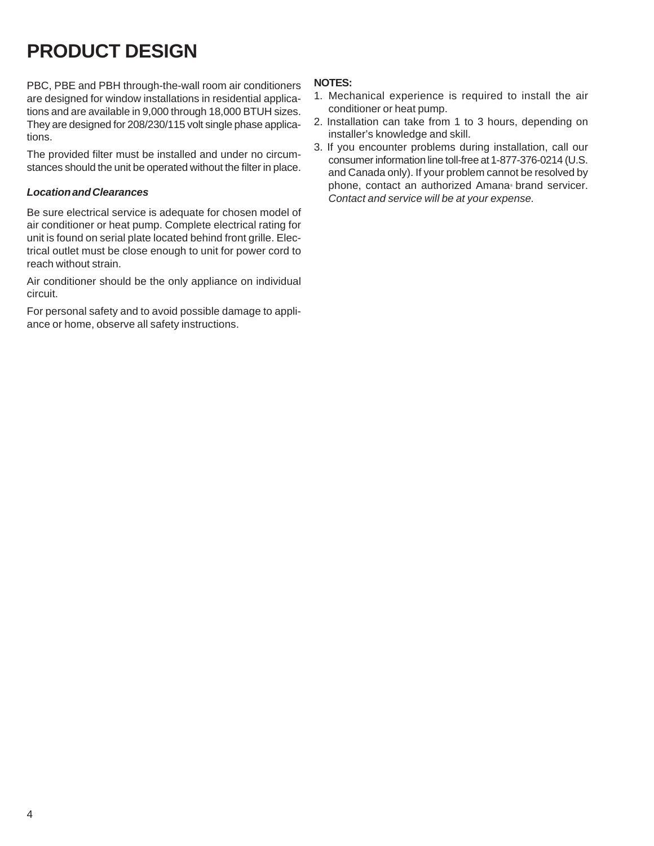# **PRODUCT DESIGN**

PBC, PBE and PBH through-the-wall room air conditioners are designed for window installations in residential applications and are available in 9,000 through 18,000 BTUH sizes. They are designed for 208/230/115 volt single phase applications.

The provided filter must be installed and under no circumstances should the unit be operated without the filter in place.

#### *Location and Clearances*

Be sure electrical service is adequate for chosen model of air conditioner or heat pump. Complete electrical rating for unit is found on serial plate located behind front grille. Electrical outlet must be close enough to unit for power cord to reach without strain.

Air conditioner should be the only appliance on individual circuit.

For personal safety and to avoid possible damage to appliance or home, observe all safety instructions.

#### **NOTES:**

- 1. Mechanical experience is required to install the air conditioner or heat pump.
- 2. Installation can take from 1 to 3 hours, depending on installer's knowledge and skill.
- 3. If you encounter problems during installation, call our consumer information line toll-free at 1-877-376-0214 (U.S. and Canada only). If your problem cannot be resolved by phone, contact an authorized Amana® brand servicer. *Contact and service will be at your expense.*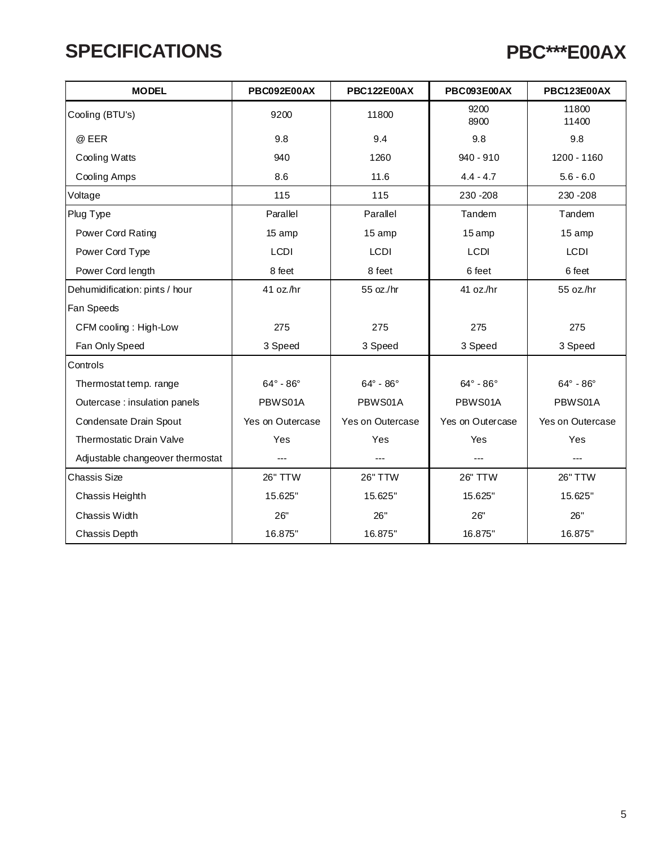#### **SPECIFICATIONS**

## **PBC\*\*\*E00AX**

| <b>MODEL</b>                     | PBC092E00AX             | <b>PBC122E00AX</b>      | PBC093E00AX           | <b>PBC123E00AX</b>    |
|----------------------------------|-------------------------|-------------------------|-----------------------|-----------------------|
| Cooling (BTU's)                  | 9200                    | 11800                   | 9200<br>8900          | 11800<br>11400        |
| @ EER                            | 9.8                     | 9.4                     | 9.8                   | 9.8                   |
| <b>Cooling Watts</b>             | 940                     | 1260                    | $940 - 910$           | 1200 - 1160           |
| Cooling Amps                     | 8.6                     | 11.6                    | $4.4 - 4.7$           | $5.6 - 6.0$           |
| Voltage                          | 115                     | 115                     | 230 - 208             | 230 - 208             |
| Plug Type                        | Parallel                | Parallel                | Tandem                | Tandem                |
| Power Cord Rating                | 15 amp                  | 15 amp                  | 15 amp                | 15 amp                |
| Power Cord Type                  | <b>LCDI</b>             | <b>LCDI</b>             | <b>LCDI</b>           | <b>LCDI</b>           |
| Power Cord length                | 8 feet                  | 8 feet                  | 6 feet                | 6 feet                |
| Dehumidification: pints / hour   | 41 oz./hr               | 55 oz./hr               | 41 oz./hr             | 55 oz./hr             |
| Fan Speeds                       |                         |                         |                       |                       |
| CFM cooling: High-Low            | 275                     | 275                     | 275                   | 275                   |
| Fan Only Speed                   | 3 Speed                 | 3 Speed                 | 3 Speed               | 3 Speed               |
| Controls                         |                         |                         |                       |                       |
| Thermostat temp. range           | $64^\circ$ - $86^\circ$ | $64^\circ$ - $86^\circ$ | $64^\circ - 86^\circ$ | $64^\circ - 86^\circ$ |
| Outercase : insulation panels    | PBWS01A                 | PBWS01A                 | PBWS01A               | PBWS01A               |
| Condensate Drain Spout           | Yes on Outercase        | Yes on Outercase        | Yes on Outercase      | Yes on Outercase      |
| Thermostatic Drain Valve         | Yes                     | Yes                     | Yes                   | Yes                   |
| Adjustable changeover thermostat | $---$                   | $---$                   | $\cdots$              | ---                   |
| <b>Chassis Size</b>              | 26" TTW                 | <b>26" TTW</b>          | 26" TTW               | 26" TTW               |
| Chassis Heighth                  | 15.625"                 | 15.625"                 | 15.625"               | 15.625"               |
| Chassis Width                    | 26"                     | 26"                     | 26"                   | 26"                   |
| Chassis Depth                    | 16.875"                 | 16.875"                 | 16.875"               | 16.875"               |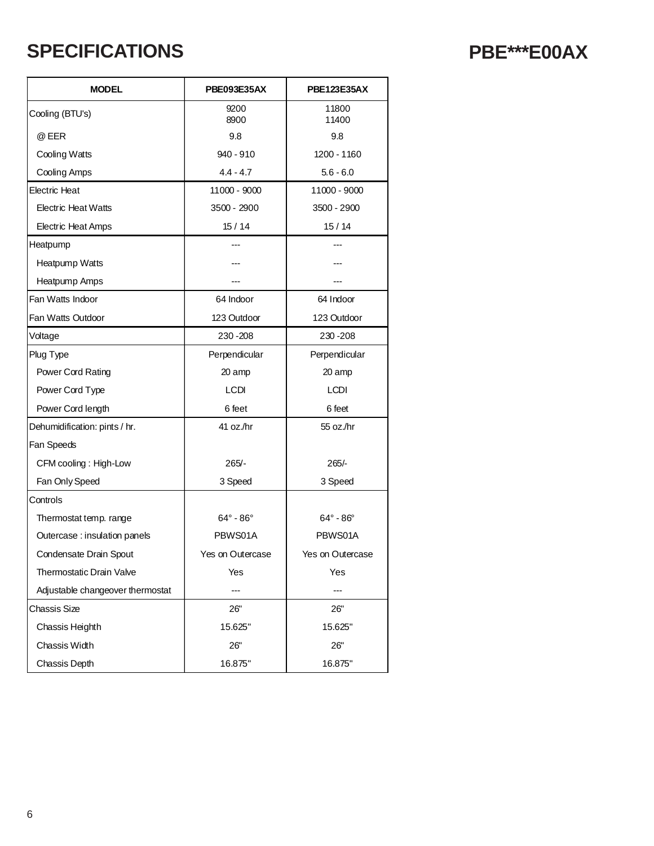### **SPECIFICATIONS PBE\*\*\*E00AX**

| <b>MODEL</b>                     | PBE093E35AX             | PBE123E35AX           |  |  |  |  |  |
|----------------------------------|-------------------------|-----------------------|--|--|--|--|--|
| Cooling (BTU's)                  | 9200<br>8900            | 11800<br>11400        |  |  |  |  |  |
| @ EER                            | 9.8                     | 9.8                   |  |  |  |  |  |
| <b>Cooling Watts</b>             | 940 - 910               | 1200 - 1160           |  |  |  |  |  |
| Cooling Amps                     | $4.4 - 4.7$             | $5.6 - 6.0$           |  |  |  |  |  |
| <b>Electric Heat</b>             | 11000 - 9000            | 11000 - 9000          |  |  |  |  |  |
| <b>Electric Heat Watts</b>       | 3500 - 2900             | 3500 - 2900           |  |  |  |  |  |
| <b>Electric Heat Amps</b>        | 15/14                   | 15/14                 |  |  |  |  |  |
| Heatpump                         |                         |                       |  |  |  |  |  |
| Heatpump Watts                   |                         |                       |  |  |  |  |  |
| Heatpump Amps                    |                         |                       |  |  |  |  |  |
| Fan Watts Indoor                 | 64 Indoor               | 64 Indoor             |  |  |  |  |  |
| Fan Watts Outdoor                | 123 Outdoor             | 123 Outdoor           |  |  |  |  |  |
| Voltage                          | 230 - 208               | 230 - 208             |  |  |  |  |  |
| Plug Type                        | Perpendicular           | Perpendicular         |  |  |  |  |  |
| Power Cord Rating                | 20 amp                  | 20 amp                |  |  |  |  |  |
| Power Cord Type                  | <b>LCDI</b>             | <b>LCDI</b>           |  |  |  |  |  |
| Power Cord length                | 6 feet                  | 6 feet                |  |  |  |  |  |
| Dehumidification: pints / hr.    | 41 oz./hr               | 55 oz./hr             |  |  |  |  |  |
| Fan Speeds                       |                         |                       |  |  |  |  |  |
| CFM cooling: High-Low            | $265/-$                 | $265/-$               |  |  |  |  |  |
| Fan Only Speed                   | 3 Speed                 | 3 Speed               |  |  |  |  |  |
| Controls                         |                         |                       |  |  |  |  |  |
| Thermostat temp. range           | $64^\circ$ - $86^\circ$ | $64^\circ - 86^\circ$ |  |  |  |  |  |
| Outercase: insulation panels     | PBWS01A                 | PBWS01A               |  |  |  |  |  |
| Condensate Drain Spout           | Yes on Outercase        | Yes on Outercase      |  |  |  |  |  |
| Thermostatic Drain Valve         | Yes                     | Yes                   |  |  |  |  |  |
| Adjustable changeover thermostat |                         |                       |  |  |  |  |  |
| Chassis Size                     | 26"                     | 26"                   |  |  |  |  |  |
| Chassis Heighth                  | 15.625"                 | 15.625"               |  |  |  |  |  |
| Chassis Width                    | 26"                     | 26"                   |  |  |  |  |  |
| Chassis Depth                    | 16.875"                 | 16.875"               |  |  |  |  |  |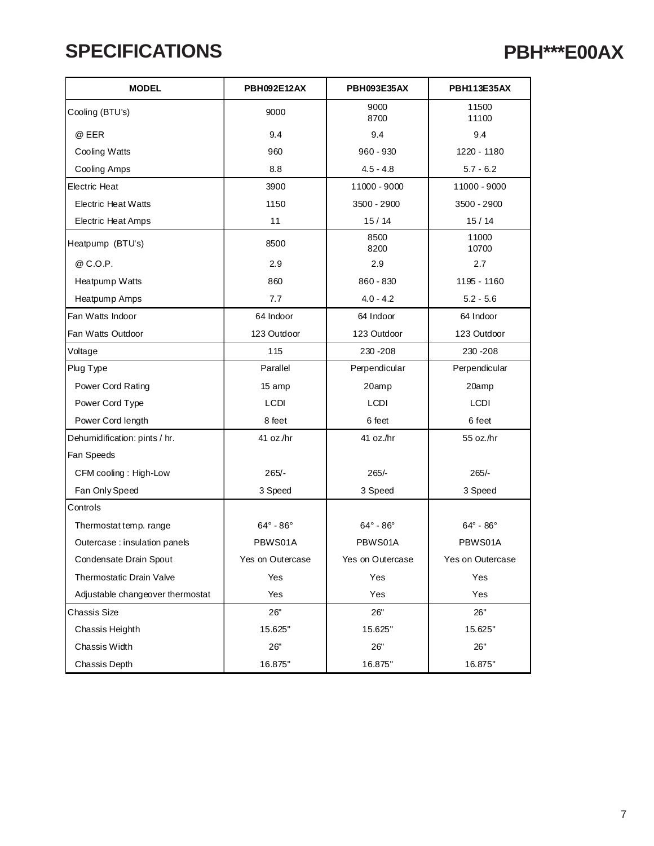#### **SPECIFICATIONS**

#### **PBH\*\*\*E00AX**

| <b>MODEL</b>                     | <b>PBH092E12AX</b>    | <b>PBH093E35AX</b>      | PBH113E35AX             |  |  |
|----------------------------------|-----------------------|-------------------------|-------------------------|--|--|
| Cooling (BTU's)                  | 9000                  | 9000<br>8700            | 11500<br>11100          |  |  |
| @ EER                            | 9.4                   | 9.4                     | 9.4                     |  |  |
| Cooling Watts                    | 960                   | $960 - 930$             | 1220 - 1180             |  |  |
| Cooling Amps                     | 8.8                   | $4.5 - 4.8$             | $5.7 - 6.2$             |  |  |
| Electric Heat                    | 3900                  | 11000 - 9000            | 11000 - 9000            |  |  |
| <b>Electric Heat Watts</b>       | 1150                  | 3500 - 2900             | 3500 - 2900             |  |  |
| <b>Electric Heat Amps</b>        | 11                    | 15/14                   | 15/14                   |  |  |
| Heatpump (BTU's)                 | 8500                  | 8500<br>8200            | 11000<br>10700          |  |  |
| @ C.O.P.                         | 2.9                   | 2.9                     | 2.7                     |  |  |
| Heatpump Watts                   | 860                   | 860 - 830               | 1195 - 1160             |  |  |
| Heatpump Amps                    | 7.7                   | $4.0 - 4.2$             | $5.2 - 5.6$             |  |  |
| Fan Watts Indoor                 | 64 Indoor             | 64 Indoor               | 64 Indoor               |  |  |
| Fan Watts Outdoor                | 123 Outdoor           | 123 Outdoor             | 123 Outdoor             |  |  |
| Voltage                          | 115                   | 230 - 208               | 230 - 208               |  |  |
| Plug Type                        | Parallel              | Perpendicular           | Perpendicular           |  |  |
| Power Cord Rating                | 15 amp                | 20amp                   | 20amp                   |  |  |
| Power Cord Type                  | <b>LCDI</b>           | <b>LCDI</b>             | LCDI                    |  |  |
| Power Cord length                | 8 feet                | 6 feet                  | 6 feet                  |  |  |
| Dehumidification: pints / hr.    | 41 oz./hr             | 41 oz./hr               | 55 oz./hr               |  |  |
| Fan Speeds                       |                       |                         |                         |  |  |
| CFM cooling : High-Low           | $265/-$               | $265/-$                 | $265/-$                 |  |  |
| Fan Only Speed                   | 3 Speed               | 3 Speed                 | 3 Speed                 |  |  |
| Controls                         |                       |                         |                         |  |  |
| Thermostat temp. range           | $64^\circ - 86^\circ$ | $64^\circ$ - $86^\circ$ | $64^\circ$ - $86^\circ$ |  |  |
| Outercase : insulation panels    | PBWS01A               | PBWS01A                 | PBWS01A                 |  |  |
| Condensate Drain Spout           | Yes on Outercase      | Yes on Outercase        | Yes on Outercase        |  |  |
| Thermostatic Drain Valve         | Yes                   | Yes                     | Yes                     |  |  |
| Adjustable changeover thermostat | Yes                   | Yes                     | Yes                     |  |  |
| Chassis Size                     | 26"                   | 26"                     | 26"                     |  |  |
| Chassis Heighth                  | 15.625"               | 15.625"                 | 15.625"                 |  |  |
| Chassis Width                    | 26"                   | 26"                     | 26"                     |  |  |
| Chassis Depth                    | 16.875"               | 16.875"                 | 16.875"                 |  |  |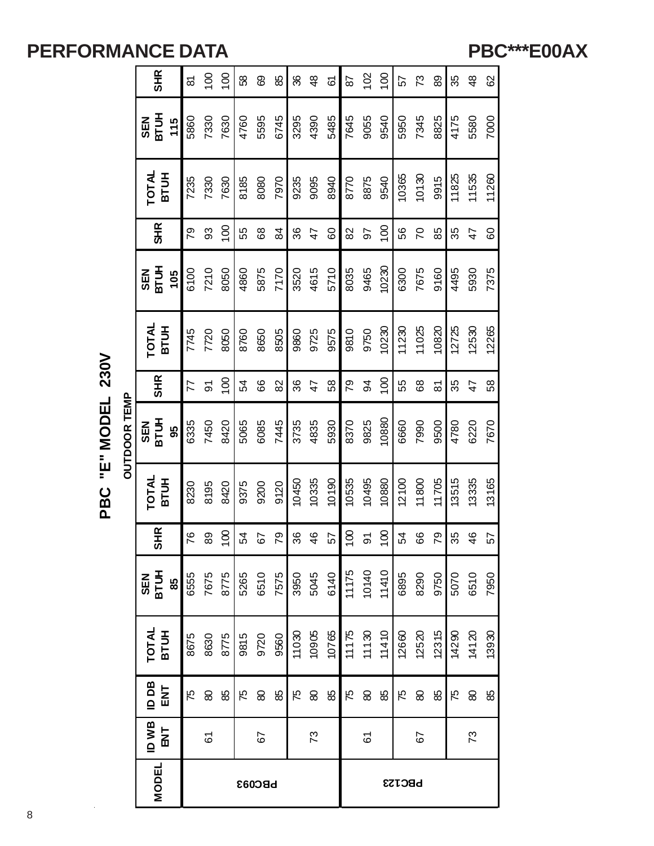#### **PBC\*\*\*E00AX**

|                     | <b>SHR</b>                       | 5    | $\overline{0}$ | $\overline{100}$ | 89   | 89            | 85            | 86    | $\frac{8}{3}$   | 67    | 29               | 102                 | $\overline{100}$ | 52            | 73             | 89                  | 35    | $\frac{8}{3}$ | 8     |
|---------------------|----------------------------------|------|----------------|------------------|------|---------------|---------------|-------|-----------------|-------|------------------|---------------------|------------------|---------------|----------------|---------------------|-------|---------------|-------|
|                     | <b>BTUH</b><br><b>NES</b><br>115 | 5860 | 7330           | 7630             | 4760 | 5595          | 6745          | 3295  | 4390            | 5485  | 7645             | 9055                | 9540             | 5950          | 7345           | 8825                | 4175  | 5580          | 7000  |
|                     | <b>TOTAL</b><br><b>BTUH</b>      | 7235 | 7330           | 7630             | 8185 | 8080          | 7970          | 9235  | 9095            | 8940  | 8770             | 8875                | 9540             | 10365         | 10130          | 9915                | 11825 | 11535         | 11260 |
|                     | <b>SHR</b>                       | 54   | 3              | $\overline{100}$ | 55   | 89            | $\frac{8}{4}$ | 86    | $\overline{4}$  | 60    | 82               | 50                  | $\overline{00}$  | 99            | $\overline{C}$ | 85                  | 35    | 47            | 60    |
|                     | <b>BTUH</b><br><b>SEN</b><br>105 | 6100 | 7210           | 8050             | 4860 | 5875          | 7170          | 3520  | 4615            | 5710  | 8035             | 9465                | 10230            | 6300          | 7675           | 9160                | 4495  | 5930          | 7375  |
|                     | <b>TOTAL</b><br><b>BTUH</b>      | 7745 | 7720           | 8050             | 8760 | 8650          | 8505          | 9860  | 9725            | 9575  | 9810             | 9750                | 10230            | 11230         | 11025          | 10820               | 12725 | 12530         | 12265 |
|                     | <b>SHR</b>                       | 77   | $\overline{5}$ | $\overline{100}$ | 54   | 89            | 82            | 36    | $\overline{47}$ | 58    | 79               | 94                  | $\overline{00}$  | 55            | 89             | $\overline{\infty}$ | 35    | 47            | 58    |
| <b>OUTDOOR TEMP</b> | <b>BTUH</b><br><b>SEN</b><br>8   | 6335 | 7450           | 8420             | 5065 | 6085          | 7445          | 3735  | 4835            | 5930  | 8370             | 9825                | 10880            | 6660          | 7990           | 9500                | 4780  | 6220          | 7670  |
|                     | TOTAL<br><b>BTUH</b>             | 8230 | 8195           | 8420             | 9375 | 9200          | 9120          | 10450 | 10335           | 10190 | 10535            | 10495               | 10880            | 12100         | 11800          | 11705               | 13515 | 13335         | 13165 |
|                     | <b>SHR</b>                       | 76   | 89             | $\overline{100}$ | 54   | 57            | 79            | 36    | 46              | 57    | $\overline{100}$ | $\overline{5}$      | $\overline{100}$ | 54            | 66             | 79                  | 35    | 46            | 57    |
|                     | <b>SEN<br/>BTUH</b><br>85        | 6555 | 7675           | 8775             | 5265 | 6510          | 7575          | 3950  | 5045            | 6140  | 11175            | 10140               | 11410            | 6895          | 8290           | 9750                | 5070  | 6510          | 7950  |
|                     | TOTAL<br>BTUH                    | 8675 | 8630           | 8775             | 9815 | 9720          | 9560          | 11030 | 10905           | 10765 | 11175            | 11130               | 11410            | 12660         | 12520          | 12315               | 14290 | 14120         | 13930 |
|                     | <b>Bad</b><br><b>TNE</b>         | 75   | 8              | 88               | 75   | 8             | 88            | 75    | $\pmb{\otimes}$ | 88    | 75               | $\pmb{\mathcal{S}}$ | 88               | 75            | 8              | 88                  | 75    | 8             | 88    |
|                     | ID WB<br>$\overline{\mathbf{z}}$ |      | 61             |                  |      | 67            |               |       | 73              |       |                  | 61                  |                  |               | 57             |                     |       | 73            |       |
|                     | <b>MODEL</b>                     |      |                |                  |      | <b>bBC033</b> |               |       |                 |       |                  |                     |                  | <b>PBC123</b> |                |                     |       |               |       |

PBC "E" MODEL 230V **PBC "E" MODEL 230V**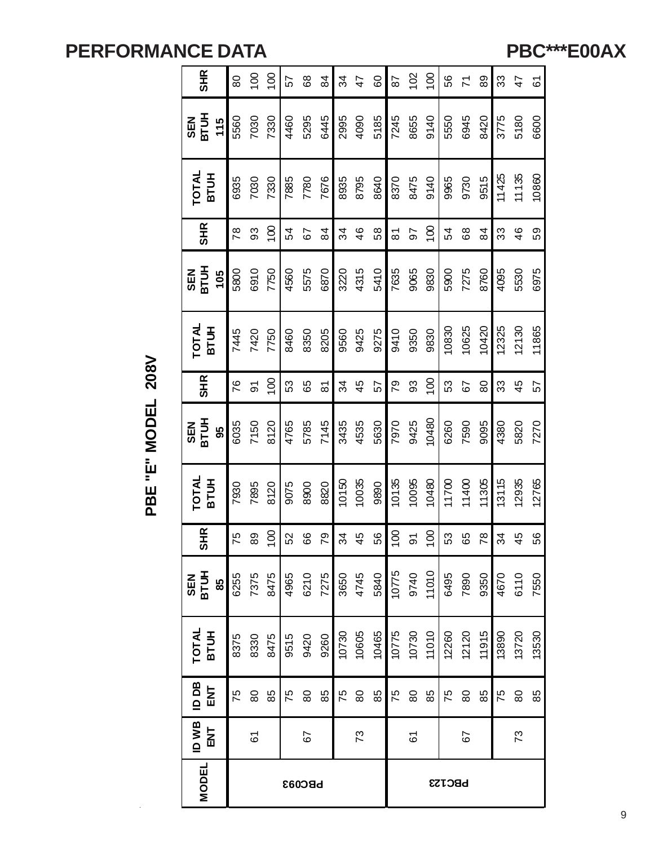**PBC\*\*\*E00AX**

| <b>SHR</b>                  | 80   | $\frac{8}{1}$ | $\overline{100}$ | 57   | $^{\circ}$    | $\overline{8}$ | 34    | 47    | $\rm ^{\rm o}$ | 87               | 102            | 100              | 56            | $\overline{7}$ | 89    | 33    | $\overline{4}$ | 61    |
|-----------------------------|------|---------------|------------------|------|---------------|----------------|-------|-------|----------------|------------------|----------------|------------------|---------------|----------------|-------|-------|----------------|-------|
| SEN<br>BTUH<br>$115$        | 5560 | 7030          | 7330             | 4460 | 5295          | 6445           | 2995  | 4090  | 5185           | 7245             | 8655           | 9140             | 5550          | 6945           | 8420  | 3775  | 5180           | 6600  |
| TOTAL<br><b>BTUH</b>        | 6935 | 7030          | 7330             | 7885 | 7780          | 7676           | 8935  | 8795  | 8640           | 8370             | 8475           | 9140             | 9965          | 9730           | 9515  | 11425 | 11135          | 10860 |
| <b>SHR</b>                  | 78   | 93            | $\overline{100}$ | 54   | 79            | 84             | 34    | 46    | 58             | $\overline{8}$   | 56             | 100              | 54            | 68             | 84    | 33    | $\frac{6}{4}$  | 59    |
| SEN<br>BTUH<br>105          | 5800 | 6910          | 7750             | 4560 | 5575          | 6870           | 3220  | 4315  | 5410           | 7635             | 9065           | 9830             | 5900          | 7275           | 8760  | 4095  | 5530           | 6975  |
| <b>TOTAL</b><br><b>BTUH</b> | 7445 | 7420          | 7750             | 8460 | 8350          | 8205           | 9560  | 9425  | 9275           | 9410             | 9350           | 9830             | 10830         | 10625          | 10420 | 12325 | 12130          | 11865 |
| <b>SHR</b>                  | 76   | 5             | $\overline{0}0$  | 53   | 65            | $\overline{8}$ | 34    | 45    | 57             | 79               | 93             | $\overline{100}$ | 53            | 67             | 80    | 33    | 45             | 57    |
| SEN<br>BTUH<br>95           | 6035 | 7150          | 8120             | 4765 | 5785          | 7145           | 3435  | 4535  | 5630           | 7970             | 9425           | 10480            | 6260          | 7590           | 9095  | 4380  | 5820           | 7270  |
| <b>TOTAL</b><br><b>BTUH</b> | 7930 | 7895          | 8120             | 9075 | 8900          | 8820           | 10150 | 10035 | 9890           | 10135            | 10095          | 10480            | 11700         | 11400          | 11305 | 13115 | 12935          | 12765 |
| <b>SHR</b>                  | 75   | 89            | $\overline{100}$ | 52   | 89            | <b>P2</b>      | 34    | 45    | 56             | $\overline{100}$ | $\overline{5}$ | $\overline{100}$ | 53            | 65             | 78    | 34    | 45             | 56    |
| <b>SEN<br/>BTUH</b><br>85   | 6255 | 7375          | 8475             | 4965 | 6210          | 7275           | 3650  | 4745  | 5840           | 10775            | 9740           | 11010            | 6495          | 7890           | 9350  | 4670  | 6110           | 7550  |
| TOTAL<br>BTUH               | 8375 | 8330          | 8475             | 9515 | 9420          | 9260           | 10730 | 10605 | 10465          | 10775            | 10730          | 11010            | 12260         | 12120          | 11915 | 13890 | 13720          | 13530 |
| 1D <sub>DB</sub><br>더       | 75   | $80$          | 85               | 75   | 80            | 85             | 75    | $80$  | 85             | 75               | $80$           | 85               | 75            | 80             | 85    | 75    | 80             | 85    |
| ID WB<br>군<br>대             |      | 61            |                  |      | 67            |                |       | 73    |                |                  | 61             |                  |               | 59             |       |       | 73             |       |
| <b>MODEL</b>                |      |               |                  |      | <b>bBC033</b> |                |       |       |                |                  |                |                  | <b>PBC123</b> |                |       |       |                |       |

PBE "E" MODEL 208V **PBE "E" MODEL 208V**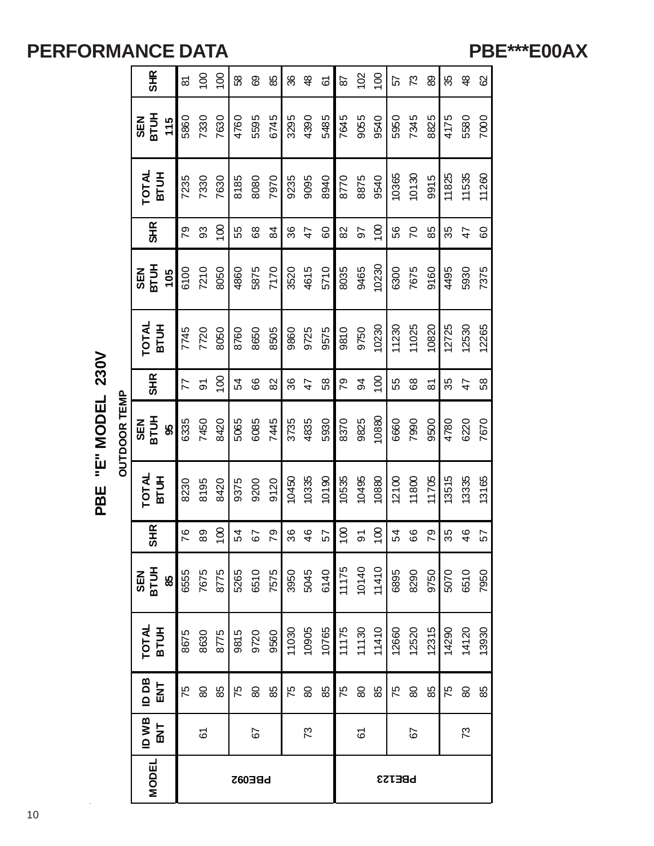#### **PBE\*\*\*E00AX**

|                     | <b>MODEL</b>                            |      |                    |                  |      | <b>PBE092</b> |                |                                      |                    |       |                |                 |                  | PBE123 |                 |       |       |               |       |
|---------------------|-----------------------------------------|------|--------------------|------------------|------|---------------|----------------|--------------------------------------|--------------------|-------|----------------|-----------------|------------------|--------|-----------------|-------|-------|---------------|-------|
|                     | <b>ID WB</b><br>$\overline{\mathbf{z}}$ |      | 61                 |                  |      | 67            |                |                                      | 73                 |       |                | 61              |                  |        | 67              |       |       | 73            |       |
|                     | <b>Bad</b><br>$\overline{M}$            | 75   | $\pmb{\mathbb{S}}$ | 88               | 75   | 8             | 88             | 75                                   | $\pmb{\mathbb{S}}$ | 88    | 75             | $\pmb{\otimes}$ | 88               | 75     | $\pmb{\otimes}$ | 88    | 75    | 8             | 88    |
|                     | TOTAL<br>BTUH                           | 8675 | 8630               | 8775             | 9815 | 9720          | 9560           | 11030                                | 10905              | 10765 | 11175<br>11130 |                 | 11410            | 12660  | 12520           | 12315 | 14290 | 14120         | 13930 |
|                     | SEN<br>BTUH<br>85                       | 6555 | 7675               | 8775             | 5265 |               |                | 6510<br>7575<br>3950<br>5045<br>6140 |                    |       | 11175          | 10140           | 11410            | 6895   | 8290            | 9750  | 5070  | 6510          | 7950  |
|                     | <b>SHR</b>                              | 76   | 89                 | $\overline{0}$   | 54   | 57            | 79             | 36                                   | 46                 | 57    | 100            | $\overline{5}$  | $\overline{100}$ | 54     | 66              | 79    | 35    | $\frac{4}{6}$ | 57    |
|                     | TOTAL<br><b>BTUH</b>                    | 8230 | 8195               | 8420             | 9375 | 9200          | 9120           | 10450                                | 10335              | 10190 | 10535          | 10495           | 10880            | 12100  | 11800           | 11705 | 13515 | 13335         | 13165 |
| <b>OUTDOOR TEMP</b> | SEN<br>BTUH<br>95                       | 6335 | 7450               | 8420             | 5065 | 6085          | 7445           | 3735                                 | 4835               | 5930  | 8370           | 9825            | 10880            | 6660   | 7990            | 9500  | 4780  | 6220          | 7670  |
|                     | <b>SHR</b>                              | 77   | $\overline{5}$     | $\overline{100}$ | 54   | 66            | 82             | 36                                   | 47                 | 58    | 79             | 94              | $\overline{0}$   | 55     | 89              | 87    | 35    | 47            | 58    |
|                     | <b>TOTAL</b><br>BTUH                    | 7745 | 7720               | 8050             | 8760 | 8650          | 8505           | 9860                                 | 9725               | 9575  | 9810           | 9750            | 10230            | 11230  | 11025           | 10820 | 12725 | 12530         | 12265 |
|                     | <b>BTUH</b><br><b>NES</b><br>105        | 6100 | 7210               | 8050             | 4860 | 5875          | 7170           | 3520                                 | 4615               | 5710  | 8035           | 9465            | 10230            | 6300   | 7675            | 9160  | 4495  | 5930          | 7375  |
|                     | <b>SHR</b>                              | 79   | 93                 | $\overline{5}$   | 55   | 68            | $\overline{8}$ | 36                                   | 47                 | 60    | 82             | 56              | $\overline{0}$   | 56     | $\overline{C}$  | 85    | 35    | 47            | 60    |
|                     | <b>TOTAL</b><br><b>HULB</b>             | 7235 | 7330               | 7630             | 8185 | 8080          | 7970           | 9235                                 | 9095               | 8940  | 8770           | 8875            | 9540             | 10365  | 10130           | 9915  | 11825 | 11535         | 11260 |
|                     | <b>BTUH</b><br><b>NES</b><br>115        | 5860 | 7330               | 7630             | 4760 | 5595          | 6745           | 3295                                 | 4390               | 5485  | 7645           | 9055            | 9540             | 5950   | 7345            | 8825  | 4175  | 5580          | 7000  |
|                     | <b>SHR</b>                              | 5    | $\frac{8}{1}$      | $\overline{100}$ | 58   | 89            | 85             | 86                                   | $\frac{8}{3}$      | 67    | 56             | 102             | $\overline{100}$ | 57     | ೧೭              | 89    | 35    | Ҿ             | 8     |

"E" MODEL 230V **PBE "E" MODEL 230V** PBE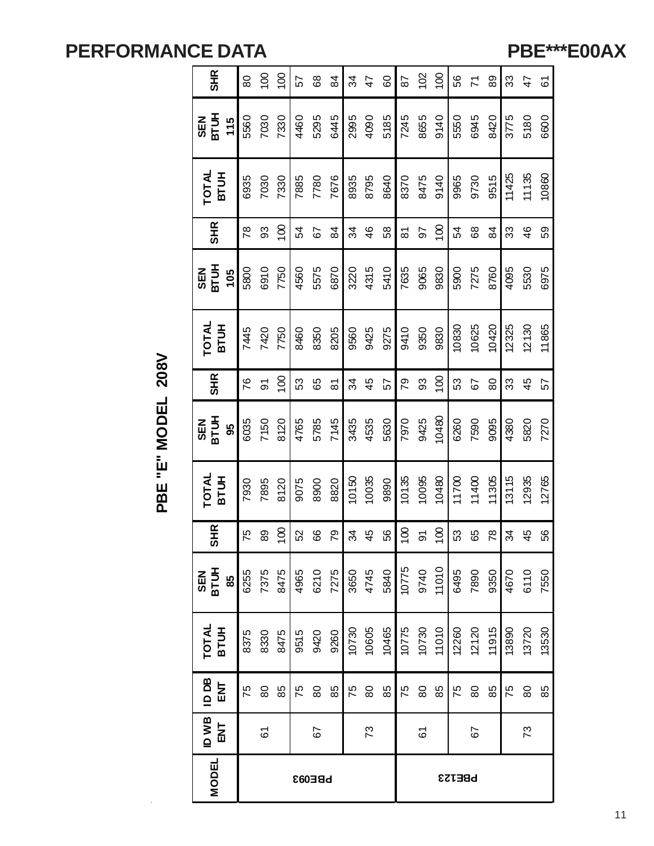**PBE\*\*\*E00AX**

| <b>SHR</b>                  | 80            | $\overline{00}$ | 100              | 57   | 68   | 84                          | 34    | 47    | 60    | 87               | 102           | 100            | 56            | $\overline{z}$ | 89             | 33    | $\frac{4}{7}$ | 61    |
|-----------------------------|---------------|-----------------|------------------|------|------|-----------------------------|-------|-------|-------|------------------|---------------|----------------|---------------|----------------|----------------|-------|---------------|-------|
| <b>SEN<br/>BTUH</b><br>115  | 5560          | 7030            | 7330             | 4460 | 5295 | 6445                        | 2995  | 4090  | 5185  | 7245             | 8655          | 9140           | 5550          | 6945           | 8420           | 3775  | 5180          | 6600  |
| TOTAL<br>BTUH               | 6935          | 7030            | 7330             | 7885 | 7780 | 7676                        | 8935  | 8795  | 8640  | 8370             | 8475          | 9140           | 9965          | 9730           | 9515           | 11425 | 11135         | 10860 |
| <b>SHR</b>                  | 78            | 93              | $\overline{100}$ | 54   | 57   | 84                          | 34    | 46    | 58    | <u>रु</u>        | 56            | $\overline{5}$ | 54            | 68             | $\overline{8}$ | 33    | 46            | 59    |
| <b>SEN<br/>BTUH</b><br>105  | 5800          | 6910            | 7750             | 4560 | 5575 | 6870                        | 3220  | 4315  | 5410  | 7635             | 9065          | 9830           | 5900          | 7275           | 8760           | 4095  | 5530          | 6975  |
| <b>TOTAL</b><br><b>BTUH</b> | 7445          | 7420            | 7750             | 8460 | 8350 | 8205                        | 9560  | 9425  | 9275  | 9410             | 9350          | 9830           | 10830         | 10625          | 10420          | 12325 | 12130         | 11865 |
| <b>SHR</b>                  | 76            | 5               | $\frac{8}{1}$    | 53   | 65   | $\overline{8}$              | 34    | 45    | 57    | 79               | 93            | $\frac{8}{1}$  | 53            | 67             | 80             | 33    | 45            | 57    |
| <b>SEN<br/>BTUH</b><br>95   | 6035          | 7150            | 8120             | 4765 | 5785 | 7145                        | 3435  | 4535  | 5630  | 7970             | 9425          | 10480          | 6260          | 7590           | 9095           | 4380  | 5820          | 7270  |
| <b>TOTAL</b><br><b>BTUH</b> | 7930          | 7895            | 8120             | 9075 | 8900 | 8820                        | 10150 | 10035 | 9890  | 10135            | 10095         | 10480          | 11700         | 11400          | 11305          | 13115 | 12935         | 12765 |
| <b>SHR</b>                  | 75            | 89              | 100              | 52   | 89   | $\mathcal{S}_{\mathcal{L}}$ | 34    | 45    | 56    | $\overline{100}$ | $\mathfrak S$ | 100            | 53            | 65             | $\frac{8}{3}$  | 34    | 45            | 56    |
| SEN<br>BTUH<br>85           | 6255          | 7375            | 8475             | 4965 | 6210 | 7275                        | 3650  | 4745  | 5840  | 10775            | 9740          | 11010          | 6495          | 7890           | 9350           | 4670  | 6110          | 7550  |
| TOTAL<br>BTUH               | 8375          | 8330            | 8475             | 9515 | 9420 | 9260                        | 10730 | 10605 | 10465 | 10775            | 10730         | 11010          | 12260         | 12120          | 11915          | 13890 | 13720         | 13530 |
| ID DB<br><b>ENT</b>         | 75            | $80$            | 85               | 75   | 80   | 85                          | 75    | $80$  | 85    | 75               | $80$          | 85             | 75            | 80             | 85             | 75    | 80            | 85    |
| ID WB<br>ENT                |               | 61              |                  |      | 57   |                             |       | 73    |       | 67<br>61         |               |                |               |                |                |       | 73            |       |
| MODEL                       | <b>bBE093</b> |                 |                  |      |      |                             |       |       |       |                  |               |                | <b>PBE123</b> |                |                |       |               |       |

PBE "E" MODEL 208V **PBE "E" MODEL 208V**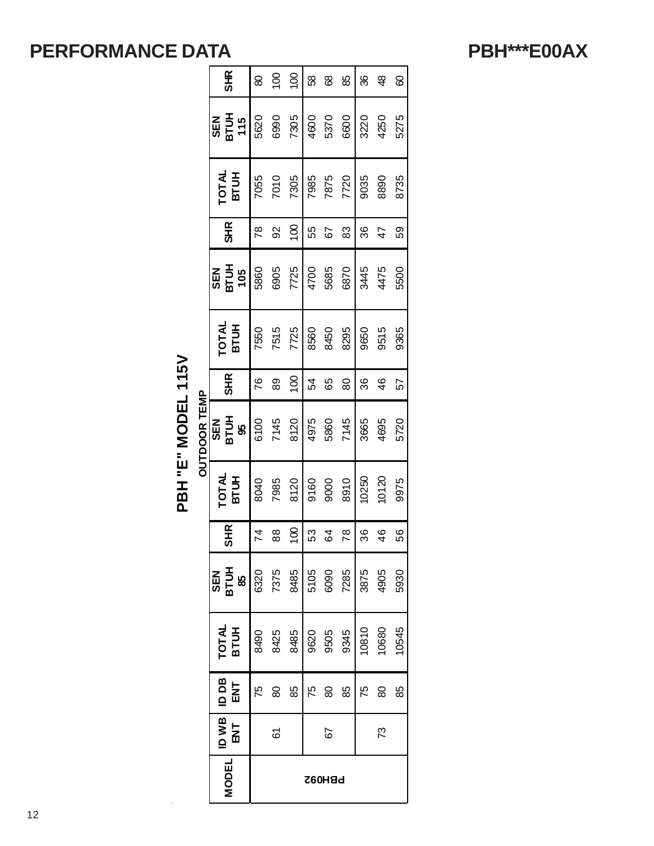**PBH\*\*\*E00AX**

| $\tilde{\bf k}$ |               |
|-----------------|---------------|
| ٦               |               |
| ۹               |               |
|                 |               |
|                 |               |
|                 |               |
| <u>ו</u><br>ג   | ī             |
|                 | ć             |
|                 |               |
|                 | <u>ו</u><br>ק |
| ֦֧֦֧֦֧֦֧֦֧֦֧׆֧  |               |
|                 |               |
| Ĩ.              |               |
|                 |               |
|                 |               |

| <b>SHR</b>                     | 80           | $\overline{0}$                                         | 100            | 58   | 89            | 85   | 36    | $\frac{8}{4}$ | 8     |
|--------------------------------|--------------|--------------------------------------------------------|----------------|------|---------------|------|-------|---------------|-------|
| SEN<br>BTU <del>I</del><br>115 | 5620         | 6990                                                   | 7305           | 4600 | 5370          | 6600 | 3220  | 4250          | 5275  |
| <b>TOTAL</b><br>BTUH           | 7055         | 7010                                                   | 7305           | 7985 | 7875          | 7720 | 9035  | 8890          | 8735  |
| <b>SHR</b>                     | 78           | 92                                                     | $\overline{0}$ | 55   | 79            | 83   | 36    | 47            | 59    |
| SEN<br>BTUH<br>105             | 5860         | 6905                                                   | 7725           | 4700 | 5685          | 6870 | 3445  | 4475          | 5500  |
| <b>국<br/>동료</b>                | 7550         | 7515                                                   | 7725           | 8560 | 8450          | 8295 | 9650  | 9515          | 9365  |
| <b>SHR</b>                     | 76           | 89                                                     | $\overline{0}$ | 54   | 89            | 80   | 36    | $\frac{6}{4}$ | 57    |
| SEN<br>BTU <del>L</del><br>95  | 6100<br>7145 |                                                        | 8120           | 4975 | 5860          | 7145 | 3665  | 4695          | 5720  |
| <b>BTUH</b><br>TOTAL           | 8040         | 7985                                                   | 8120           | 9160 | 9000          | 8910 | 10250 | 10120         | 9975  |
| SHR                            | 74           | 88                                                     | $\frac{8}{1}$  | 53   | 64            | 78   | 36    | 46            | 56    |
| SEN<br>BT 95<br>BT 95          |              | $6320$<br>$7375$<br>$8485$<br>$609$<br>$609$<br>$7285$ |                |      |               |      |       | 3875<br>4905  | 5930  |
| <b>TOTAL</b><br>BTUH           | 8490         | 8425                                                   | 8485           | 9620 | 9505          | 9345 | 10810 | 10680         | 10545 |
| <b>BOD</b><br><b>ENT</b>       | 75           | 80                                                     | 88             | 52   | 8             | 88   | 75    | 8             | 58    |
| ID WB<br>ENT                   |              | 61                                                     |                |      | 67            |      |       | 73            |       |
| <b>MODEL</b>                   |              |                                                        |                |      | <b>PBH092</b> |      |       |               |       |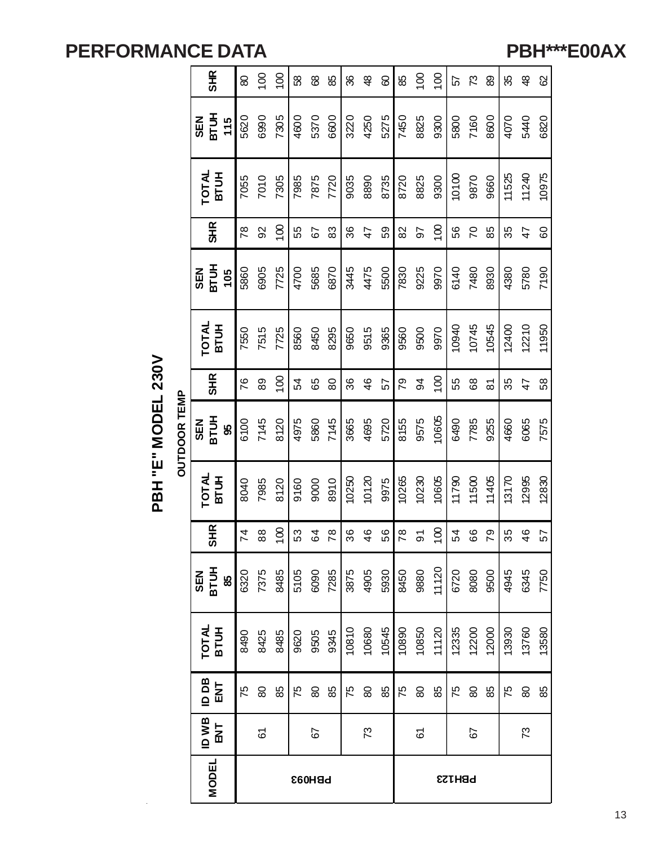**PBH\*\*\*E00AX**

| <b>SHR</b>                              | 80             | $\overline{0}$ | $\overline{100}$ | 89   | 89   | 85   | 86    | $\frac{8}{3}$ | 60    | 85    | $\overline{5}$ | 100              | 57    | 73    | 89                  | 35    | $\frac{8}{3}$  | 8     |
|-----------------------------------------|----------------|----------------|------------------|------|------|------|-------|---------------|-------|-------|----------------|------------------|-------|-------|---------------------|-------|----------------|-------|
| ВТИН<br><b>SEN</b><br>115               | 5620           | 6990           | 7305             | 4600 | 5370 | 6600 | 3220  | 4250          | 5275  | 7450  | 8825           | 9300             | 5800  | 7160  | 8600                | 4070  | 5440           | 6820  |
| TOTAL<br>BTUH                           | 7055           | 7010           | 7305             | 7985 | 7875 | 7720 | 9035  | 8890          | 8735  | 8720  | 8825           | 9300             | 10100 | 9870  | 9660                | 11525 | 11240          | 10975 |
| <b>SHR</b>                              | 78             | 92             | $\overline{100}$ | 55   | 67   | 83   | 36    | 47            | 59    | 82    | 50             | $\overline{100}$ | 56    | 70    | 85                  | 35    | 47             | 60    |
| ВTUH<br><b>SEN</b><br>105               | 5860           | 6905           | 7725             | 4700 | 5685 | 6870 | 3445  | 4475          | 5500  | 7830  | 9225           | 9970             | 6140  | 7480  | 8930                | 4380  | 5780           | 7190  |
| TOTAL<br>BTUH                           | 7550           | 7515           | 7725             | 8560 | 8450 | 8295 | 9650  | 9515          | 9365  | 9560  | 9500           | 9970             | 10940 | 10745 | 10545               | 12400 | 12210          | 11950 |
| <b>SHR</b>                              | 76             | 89             | $\overline{5}$   | 54   | 89   | 80   | 86    | $\frac{4}{6}$ | 57    | 79    | 34             | $\frac{8}{1}$    | 55    | 89    | $\overline{\infty}$ | 35    | $\overline{4}$ | 58    |
| <b>SEN<br/>BTUH</b><br>8                | 6100           | 7145           | 8120             | 4975 | 5860 | 7145 | 3665  | 4695          | 5720  | 8155  | 9575           | 10605            | 6490  | 7785  | 9255                | 4660  | 6065           | 7575  |
| <b>TOTAL</b><br><b>BTUH</b>             | 8040           | 7985           | 8120             | 9160 | 9000 | 8910 | 10250 | 10120         | 9975  | 10265 | 10230          | 10605            | 11790 | 11500 | 11405               | 13170 | 12995          | 12830 |
| <b>SHR</b>                              | $\overline{7}$ | $88\,$         | 100              | 53   | 64   | 78   | 36    | 46            | 56    | 78    | $\overline{5}$ | 100              | 54    | 66    | 79                  | 35    | 46             | 57    |
| SEN<br>BTUH<br>85                       | 6320           | 7375           | 8485             | 5105 | 6090 | 7285 | 3875  | 4905          | 5930  | 8450  | 9880           | 11120            | 6720  | 8080  | 9500                | 4945  | 6345           | 7750  |
| TOTAL<br>BTUH                           | 8490           | 8425           | 8485             | 9620 | 9505 | 9345 | 10810 | 10680         | 10545 | 10890 | 10850          | 11120            | 12335 | 12200 | 12000               | 13930 | 13760          | 13580 |
| <b>Bd</b> OI<br>$\overline{\mathsf{M}}$ | 75             | 8              | 88               | 75   | 8    | 88   | 75    | 8             | 88    | 75    | 8              | 88               | 75    | 8     | 88                  | 75    | 8              | 88    |
| ID WB<br>$\overline{\mathbf{z}}$        |                | 61             |                  |      | 57   |      |       | 73            |       |       | 61             |                  |       | 57    |                     |       | 73             |       |
| <b>MODEL</b>                            | <b>PBH093</b>  |                |                  |      |      |      |       |               |       |       |                | <b>PBH123</b>    |       |       |                     |       |                |       |

PBH "E" MODEL 230V **PBH "E" MODEL 230V**

**OUTDOOR TEMP OUTDOOR TEMP**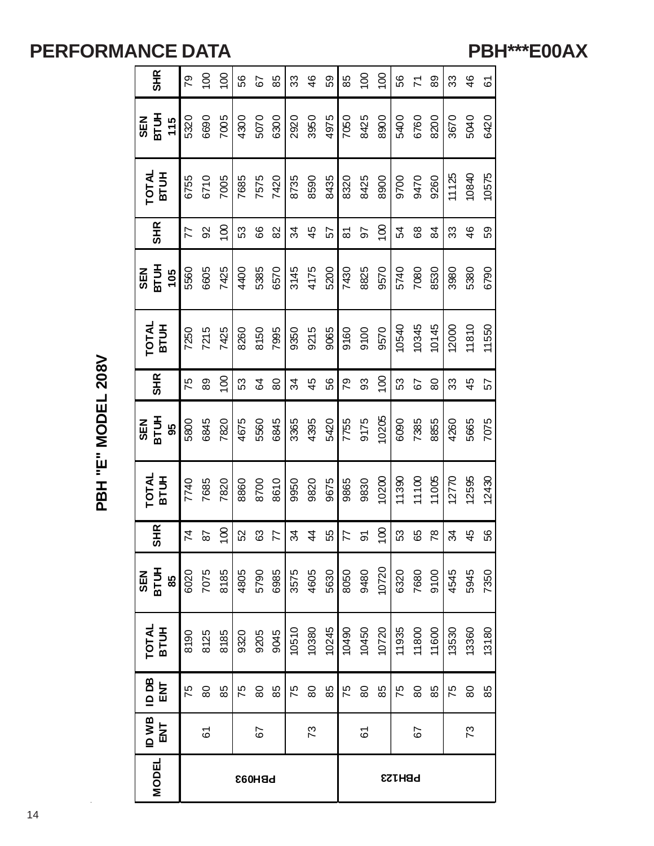**PBH\*\*\*E00AX**

PBH "E" MODEL 208V **PBH "E" MODEL 208V**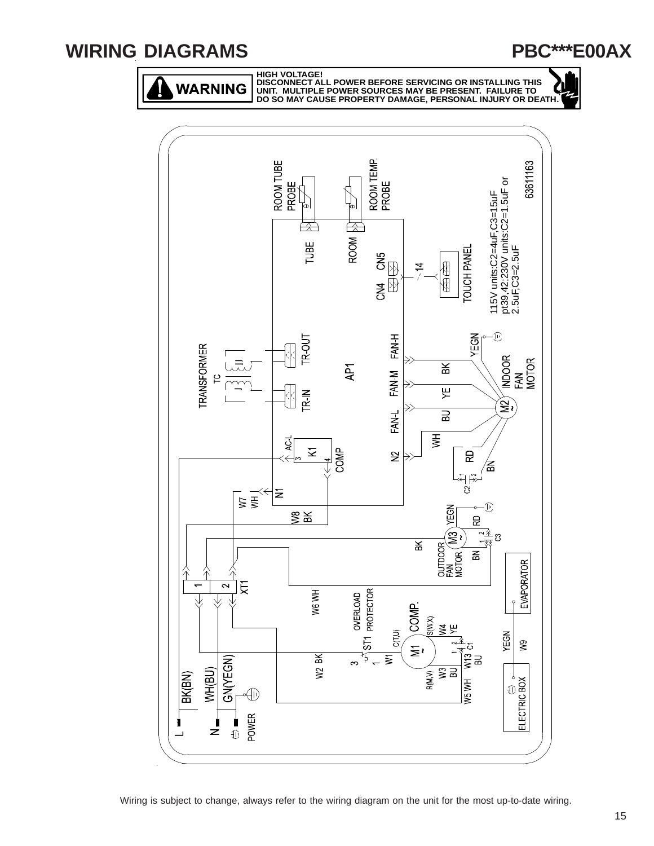#### **WIRING DIAGRAMS**

**PBC\*\*\*E00AX**

WARNING



**HIGH VOLTAGE! DISCONNECT ALL POWER BEFORE SERVICING OR INSTALLING THIS UNIT. MULTIPLE POWER SOURCES MAY BE PRESENT. FAILURE TO DO SO MAY CAUSE PROPERTY DAMAGE, PERSONAL INJURY OR DEATH.**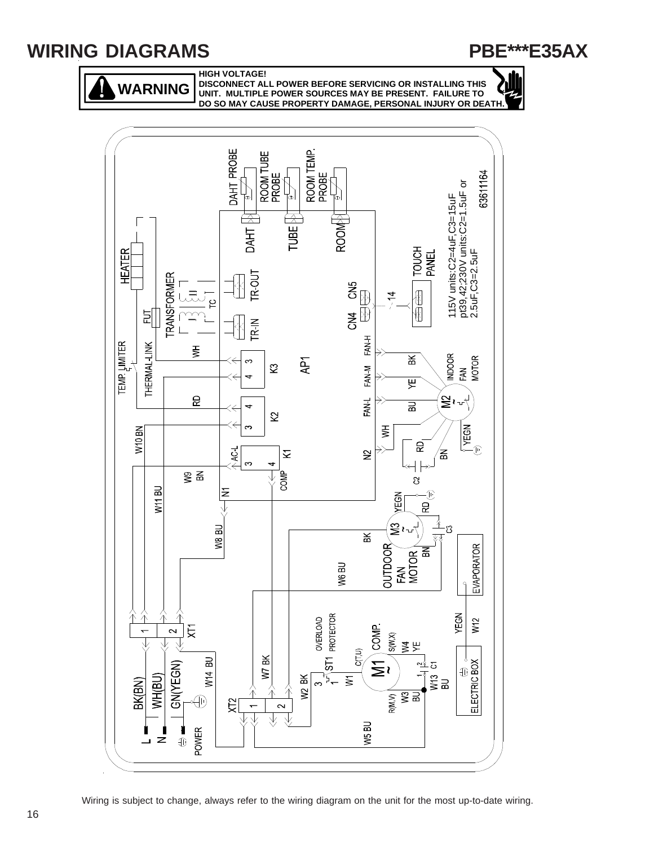#### **WIRING DIAGRAMS**



**HIGH VOLTAGE!**

**WARNING**

**DISCONNECT ALL POWER BEFORE SERVICING OR INSTALLING THIS UNIT. MULTIPLE POWER SOURCES MAY BE PRESENT. FAILURE TO DO SO MAY CAUSE PROPERTY DAMAGE, PERSONAL INJURY OR DEATH.**



Wiring is subject to change, always refer to the wiring diagram on the unit for the most up-to-date wiring.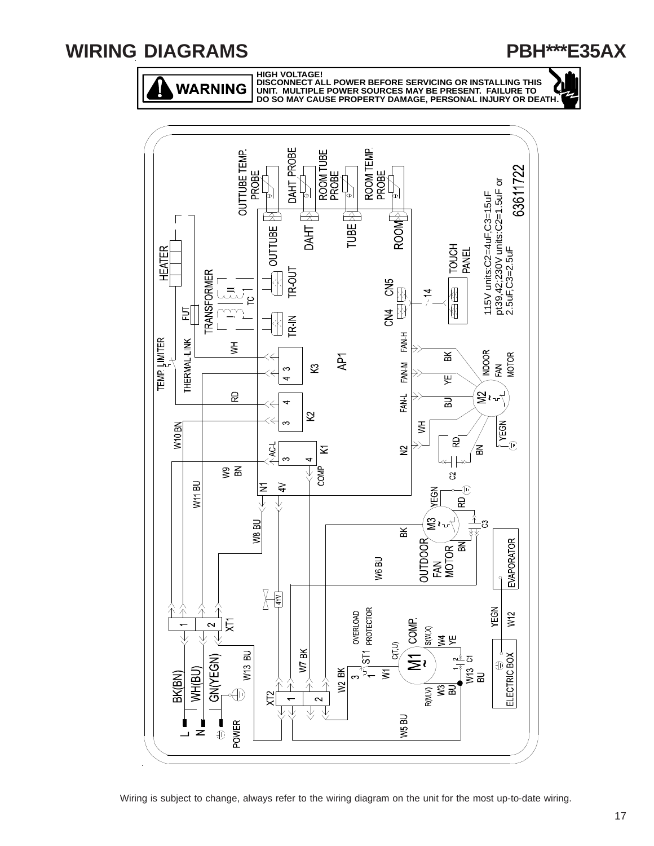#### **WIRING DIAGRAMS**



WARNING

**HIGH VOLTAGE! DISCONNECT ALL POWER BEFORE SERVICING OR INSTALLING THIS UNIT. MULTIPLE POWER SOURCES MAY BE PRESENT. FAILURE TO DO SO MAY CAUSE PROPERTY DAMAGE, PERSONAL INJURY OR DEATH.**